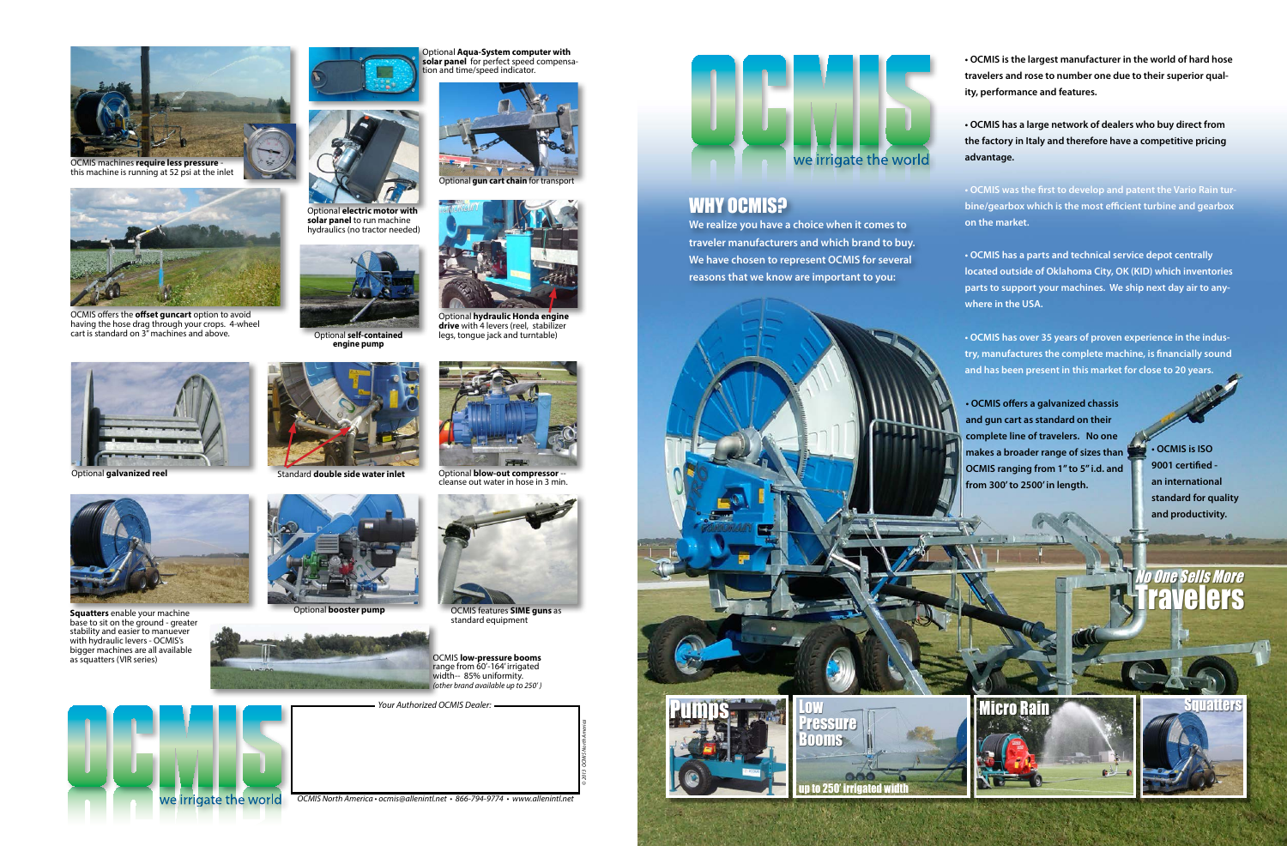**We realize you have a choice when it comes to traveler manufacturers and which brand to buy. We have chosen to represent OCMIS for several reasons that we know are important to you:**

**• OCMIS is the largest manufacturer in the world of hard hose travelers and rose to number one due to their superior quality, performance and features.**

**• OCMIS has a large network of dealers who buy direct from the factory in Italy and therefore have a competitive pricing advantage.**

**• OCMIS was the first to develop and patent the Vario Rain turbine/gearbox which is the most efficient turbine and gearbox on the market.**



**• OCMIS has a parts and technical service depot centrally located outside of Oklahoma City, OK (KID) which inventories parts to support your machines. We ship next day air to any-**

**• OCMIS has over 35 years of proven experience in the industry, manufactures the complete machine, is financially sound and has been present in this market for close to 20 years.**

**• OCMIS is ISO 9001 certified an international standard for quality and productivity.** 

## **Travelers Io One Sells More**





OCMIS offers the **offset guncart** option to avoid having the hose drag through your crops. 4-wheel cart is standard on 3" machines and above.

*Your Authorized OCMIS Dealer:*



### **WHY OCMIS?**



*OCMIS North America • ocmis@allenintl.net • 866-794-9774 • www.allenintl.net*

*© 2013 OCMIS North America*



Optional **hydraulic Honda engine drive** with 4 levers (reel, stabilizer legs, tongue jack and turntable)

OCMIS features **SIME guns** as standard equipment

Optional **blow-out compressor** - cleanse out water in hose in 3 min.



**Squatters** enable your machine base to sit on the ground - greater stability and easier to manuever with hydraulic levers - OCMIS's bigger machines are all available as squatters (VIR series)





Optional **electric motor with solar panel** to run machine hydraulics (no tractor needed)



OCMIS **low-pressure booms** range from 60'-164' irrigated width-- 85% uniformity. *(other brand available up to 250' )*



OCMIS machines **require less pressure** this machine is running at 52 psi at the inlet



Standard **double side water inlet**



Optional **self-contained engine pump**



**Optional gun cart chain** for transpo



Optional **booster pump**



Optional **galvanized reel**